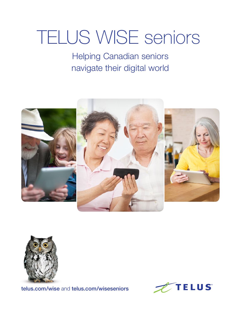# TELUS WISE seniors

Helping Canadian seniors navigate their digital world





[telus.com/wise](http://telus.com/wise) and [telus.com/wiseseniors](http://telus.com/wiseseniors)

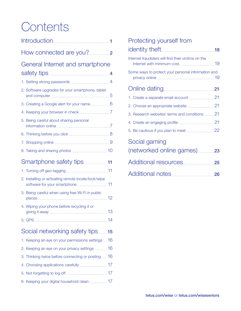## **Contents**

| General Internet and smartphone                     |
|-----------------------------------------------------|
|                                                     |
| 2. Software upgrades for your smartphone, tablet    |
| 3. Creating a Google alert for your name  6         |
|                                                     |
| 5. Being careful about sharing personal             |
|                                                     |
|                                                     |
|                                                     |
| Smartphone safety tips11                            |
|                                                     |
| 2. Installing or activating remote locate/lock/wipe |
| 3. Being careful when using free Wi-Fi in public    |
| 4. Wiping your phone before recycling it or         |
|                                                     |
| Social networking safety tips15                     |
| 1. Keeping an eye on your permissions settings  16  |
| 2. Keeping an eye on your privacy settings  16      |
| 3. Thinking twice before connecting or posting  16  |
|                                                     |
|                                                     |
| 6. Keeping your digital household clean  17         |

#### [Protecting yourself from](#page-19-0)

| Internet fraudsters will find their victims on the |  |
|----------------------------------------------------|--|
| Some ways to protect your personal information and |  |
|                                                    |  |
|                                                    |  |
|                                                    |  |
| 3. Research websites' terms and conditions  21     |  |
|                                                    |  |
|                                                    |  |
| Social gaming                                      |  |
|                                                    |  |
|                                                    |  |
|                                                    |  |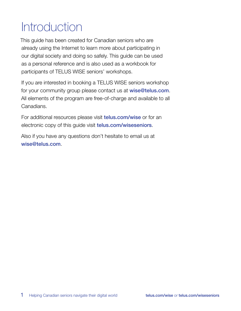## <span id="page-2-0"></span>Introduction

This guide has been created for Canadian seniors who are already using the Internet to learn more about participating in our digital society and doing so safely. This guide can be used as a personal reference and is also used as a workbook for participants of TELUS WISE seniors' workshops.

If you are interested in booking a TELUS WISE seniors workshop for your community group please contact us at [wise@telus.com](mailto:wise%40telus.com?subject=). All elements of the program are free-of-charge and available to all Canadians.

For additional resources please visit **[telus.com/wise](http://telus.com/wise)** or for an electronic copy of this guide visit [telus.com/wiseseniors](http://telus.com/wiseseniors).

Also if you have any questions don't hesitate to email us at [wise@telus.com](mailto:wise%40telus.com?subject=).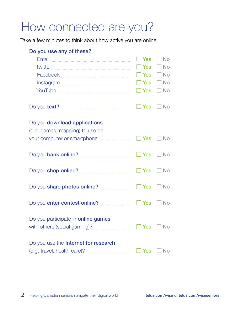## <span id="page-3-0"></span>How connected are you?

Take a few minutes to think about how active you are online.

| Do you use any of these?                                        | ∏ Yes<br>$\Box$ Yes<br>$\Box$ Yes<br>$\Box$ Yes<br>$\Box$ Yes | l No<br><b>No</b><br>$\mathbf{1}$<br><b>No</b><br>- No<br>$\Box$ No |
|-----------------------------------------------------------------|---------------------------------------------------------------|---------------------------------------------------------------------|
|                                                                 | <b>Nes</b>                                                    | $\Box$ No                                                           |
| Do you download applications<br>(e.g. games, mapping) to use on | $\Box$ Yes $\Box$ No                                          |                                                                     |
|                                                                 | $\square$ Yes                                                 | $\Box$ No                                                           |
|                                                                 | $\Box$ Yes $\Box$ No                                          |                                                                     |
|                                                                 | $\Box$ Yes $\Box$ No                                          |                                                                     |
|                                                                 | $\Box$ Yes                                                    | <b>No</b>                                                           |
| Do you participate in <b>online games</b>                       | $\square$ Yes                                                 | <b>No</b>                                                           |
| Do you use the Internet for research                            | Yes                                                           | No                                                                  |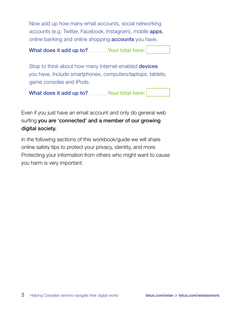Now add up how many email accounts, social networking accounts (e.g. Twitter, Facebook, Instagram), mobile apps, online banking and online shopping **accounts** you have.

What does it add up to? ................ Your total here:

Stop to think about how many Internet-enabled **devices** you have. Include smartphones, computers/laptops, tablets, game consoles and iPods.

What does it add up to? ................ Your total here:

Even if you just have an email account and only do general web surfing you are 'connected' and a member of our growing digital society.

In the following sections of this workbook/guide we will share online safety tips to protect your privacy, identity, and more. Protecting your information from others who might want to cause you harm is very important.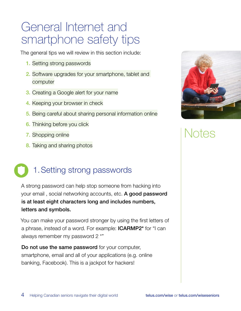### <span id="page-5-0"></span>General Internet and smartphone safety tips

The general tips we will review in this section include:

- 1. [Setting strong passwords](#page-5-1)
- 2. [Software upgrades for your smartphone, tablet and](#page-6-1)  [computer](#page-6-1)
- 3. [Creating a Google alert for your name](#page-7-1)
- 4. [Keeping your browser in check](#page-8-1)
- 5. [Being careful about sharing personal information online](#page-8-2)
- 6. [Thinking before you click](#page-9-1)
- 7. [Shopping online](#page-10-1)
- 8. [Taking and sharing photos](#page-11-1)

### <span id="page-5-1"></span>1.Setting strong passwords

A strong password can help stop someone from hacking into your email, social networking accounts, etc. A good password is at least eight characters long and includes numbers, letters and symbols.

You can make your password stronger by using the first letters of a phrase, instead of a word. For example: ICARMP2\* for "I can always remember my password 2 \*"

Do not use the same password for your computer, smartphone, email and all of your applications (e.g. online banking, Facebook). This is a jackpot for hackers!

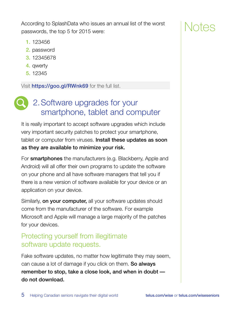<span id="page-6-0"></span>According to SplashData who issues an annual list of the worst passwords, the top 5 for 2015 were:

### ntes

- 1. 123456
- 2. password
- 3. 12345678
- 4. qwerty
- 5. 12345

Visit **<https://goo.gl/RWnk69>** for the full list.

#### <span id="page-6-1"></span>2.Software upgrades for your smartphone, tablet and computer

It is really important to accept software upgrades which include very important security patches to protect your smartphone, tablet or computer from viruses. **Install these updates as soon** as they are available to minimize your risk.

For **smartphones** the manufacturers (e.g. Blackberry, Apple and Android) will all offer their own programs to update the software on your phone and all have software managers that tell you if there is a new version of software available for your device or an application on your device.

Similarly, on your computer, all your software updates should come from the manufacturer of the software. For example Microsoft and Apple will manage a large majority of the patches for your devices.

#### Protecting yourself from illegitimate software update requests.

Fake software updates, no matter how legitimate they may seem, can cause a lot of damage if you click on them. So always remember to stop, take a close look, and when in doubt do not download.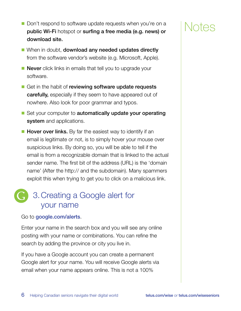- <span id="page-7-0"></span>■ Don't respond to software update requests when you're on a public Wi-Fi hotspot or surfing a free media (e.g. news) or download site.
- When in doubt, **download any needed updates directly** from the software vendor's website (e.g. Microsoft, Apple).
- **Never** click links in emails that tell you to upgrade your software.
- Get in the habit of reviewing software update requests carefully, especially if they seem to have appeared out of nowhere. Also look for poor grammar and typos.
- Set your computer to **automatically update your operating** system and applications.
- Hover over links. By far the easiest way to identify if an email is legitimate or not, is to simply hover your mouse over suspicious links. By doing so, you will be able to tell if the email is from a recognizable domain that is linked to the actual sender name. The first bit of the address (URL) is the 'domain name' (After the http:// and the subdomain). Many spammers exploit this when trying to get you to click on a malicious link.

#### <span id="page-7-1"></span>3.Creating a Google alert for your name

#### Go to [google.com/alerts](http://www.google.com/alerts).

Enter your name in the search box and you will see any online posting with your name or combinations. You can refine the search by adding the province or city you live in.

If you have a Google account you can create a permanent Google alert for your name. You will receive Google alerts via email when your name appears online. This is not a 100%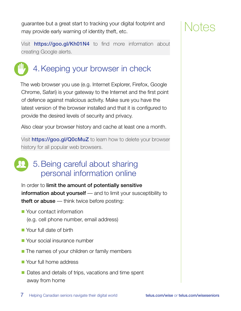<span id="page-8-0"></span>guarantee but a great start to tracking your digital footprint and may provide early warning of identity theft, etc.

Visit <https://goo.gl/Kh01N4> to find more information about creating Google alerts.

#### <span id="page-8-1"></span>4.Keeping your browser in check

The web browser you use (e.g. Internet Explorer, Firefox, Google Chrome, Safari) is your gateway to the Internet and the first point of defence against malicious activity. Make sure you have the latest version of the browser installed and that it is configured to provide the desired levels of security and privacy.

Also clear your browser history and cache at least one a month.

Visit **<https://goo.gl/Q0cMuZ>** to learn how to delete your browser history for all popular web browsers.

#### <span id="page-8-2"></span>5.Being careful about sharing personal information online

In order to limit the amount of potentially sensitive information about yourself — and to limit your susceptibility to **theft or abuse** — think twice before posting:

- Your contact information (e.g. cell phone number, email address)
- Your full date of birth
- Your social insurance number
- The names of your children or family members
- Your full home address
- Dates and details of trips, vacations and time spent away from home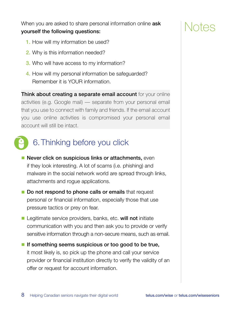<span id="page-9-0"></span>When you are asked to share personal information online **ask** yourself the following questions:

- 1. How will my information be used?
- 2. Why is this information needed?
- **3.** Who will have access to my information?
- 4. How will my personal information be safeguarded? Remember it is YOUR information.

**Think about creating a separate email account** for your online activities (e.g. Google mail) — separate from your personal email that you use to connect with family and friends. If the email account you use online activities is compromised your personal email account will still be intact.

### <span id="page-9-1"></span>6.Thinking before you click

- Never click on suspicious links or attachments, even if they look interesting. A lot of scams (i.e. phishing) and malware in the social network world are spread through links, attachments and rogue applications.
- Do not respond to phone calls or emails that request personal or financial information, especially those that use pressure tactics or prey on fear.
- Legitimate service providers, banks, etc. will not initiate communication with you and then ask you to provide or verify sensitive information through a non-secure means, such as email.
- If something seems suspicious or too good to be true, it most likely is, so pick up the phone and call your service provider or financial institution directly to verify the validity of an offer or request for account information.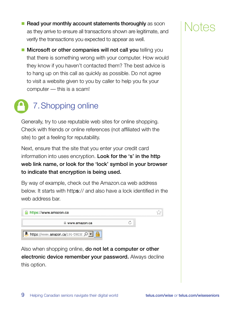<span id="page-10-0"></span>■ Read your monthly account statements thoroughly as soon as they arrive to ensure all transactions shown are legitimate, and verify the transactions you expected to appear as well.

NTAS

■ Microsoft or other companies will not call you telling you that there is something wrong with your computer. How would they know if you haven't contacted them? The best advice is to hang up on this call as quickly as possible. Do not agree to visit a website given to you by caller to help you fix your computer — this is a scam!

### <span id="page-10-1"></span>7.Shopping online

Generally, try to use reputable web sites for online shopping. Check with friends or online references (not affiliated with the site) to get a feeling for reputability.

Next, ensure that the site that you enter your credit card information into uses encryption. Look for the 's' in the http web link name, or look for the 'lock' symbol in your browser to indicate that encryption is being used.

By way of example, check out the Amazon.ca web address below. It starts with https:// and also have a lock identified in the web address bar.



Also when shopping online, **do not let a computer or other** electronic device remember your password. Always decline this option.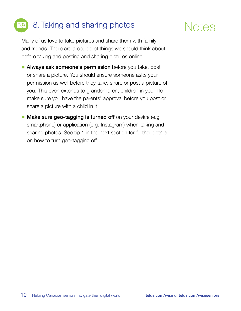### <span id="page-11-0"></span>8.Taking and sharing photos

<span id="page-11-1"></span>Many of us love to take pictures and share them with family and friends. There are a couple of things we should think about before taking and posting and sharing pictures online:

- Always ask someone's permission before you take, post or share a picture. You should ensure someone asks your permission as well before they take, share or post a picture of you. This even extends to grandchildren, children in your life make sure you have the parents' approval before you post or share a picture with a child in it.
- Make sure geo-tagging is turned off on your device (e.g. smartphone) or application (e.g. Instagram) when taking and sharing photos. See tip 1 in the next section for further details on how to turn geo-tagging off.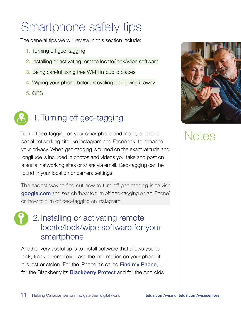## <span id="page-12-0"></span>Smartphone safety tips

The general tips we will review in this section include:

- 1. [Turning off geo-tagging](#page-12-1)
- 2. [Installing or activating remote locate/lock/wipe software](#page-12-2)
- 3. [Being careful using free Wi-Fi in public places](#page-13-1)
- 4. [Wiping your phone before recycling it or giving it away](#page-14-1)
- 5. [GPS](#page-15-1)



### <span id="page-12-1"></span>1.Turning off geo-tagging

Turn off geo-tagging on your smartphone and tablet, or even a social networking site like Instagram and Facebook, to enhance your privacy. When geo-tagging is turned on the exact latitude and longitude is included in photos and videos you take and post on a social networking sites or share via email. Geo-tagging can be found in your location or camera settings.

The easiest way to find out how to turn off geo-tagging is to visit [google.com](http://www.google.com) and search 'how to turn off geo-tagging on an iPhone' or 'how to turn off geo-tagging on Instagram'.

#### <span id="page-12-2"></span>2.Installing or activating remote locate/lock/wipe software for your smartphone

Another very useful tip is to install software that allows you to lock, track or remotely erase the information on your phone if it is lost or stolen. For the iPhone it's called [Find my Phone](https://www.apple.com/ca/support/icloud/find-my-iphone-ipad-ipod-mac/), for the Blackberry its **[Blackberry Protect](http://ca.blackberry.com/apps/blackberry-apps/protect.html)** and for the Androids

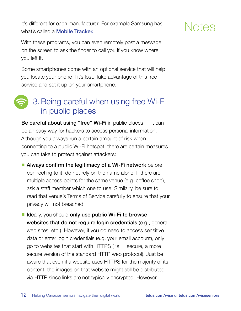<span id="page-13-0"></span>it's different for each manufacturer. For example Samsung has what's called a **[Mobile Tracker.](https://findmymobile.samsung.com/)** 

With these programs, you can even remotely post a message on the screen to ask the finder to call you if you know where you left it.

Some smartphones come with an optional service that will help you locate your phone if it's lost. Take advantage of this free service and set it up on your smartphone.

#### <span id="page-13-1"></span>3.Being careful when using free Wi-Fi in public places

Be careful about using "free" Wi-Fi in public places — it can be an easy way for hackers to access personal information. Although you always run a certain amount of risk when connecting to a public Wi-Fi hotspot, there are certain measures you can take to protect against attackers:

■ Always confirm the legitimacy of a Wi-Fi network before connecting to it; do not rely on the name alone. If there are multiple access points for the same venue (e.g. coffee shop), ask a staff member which one to use. Similarly, be sure to read that venue's Terms of Service carefully to ensure that your privacy will not breached.

■ Ideally, you should only use public Wi-Fi to browse websites that do not require login credentials (e.g., general web sites, etc.). However, if you do need to access sensitive data or enter login credentials (e.g. your email account), only go to websites that start with HTTPS ( $'s'$  = secure, a more secure version of the standard HTTP web protocol). Just be aware that even if a website uses HTTPS for the majority of its content, the images on that website might still be distributed via HTTP since links are not typically encrypted. However,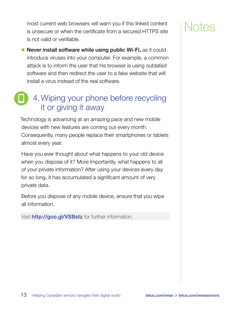<span id="page-14-0"></span>most current web browsers will warn you if this linked content is unsecure or when the certificate from a secured HTTPS site is not valid or verifiable.

■ Never install software while using public Wi-Fi, as it could introduce viruses into your computer. For example, a common attack is to inform the user that his browser is using outdated software and then redirect the user to a fake website that will install a virus instead of the real software.

#### <span id="page-14-1"></span>4.Wiping your phone before recycling it or giving it away

Technology is advancing at an amazing pace and new mobile devices with new features are coming out every month. Consequently, many people replace their smartphones or tablets almost every year.

Have you ever thought about what happens to your old device when you dispose of it? More importantly, what happens to all of your private information? After using your devices every day for so long, it has accumulated a significant amount of very private data.

Before you dispose of any mobile device, ensure that you wipe all information.

Visit <http://goo.gl/VSBstz> for further information.

### ntes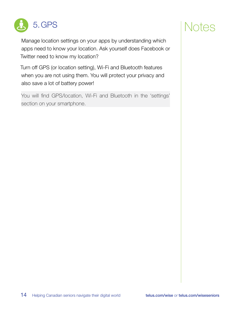<span id="page-15-0"></span>

### Notes

<span id="page-15-1"></span>Manage location settings on your apps by understanding which apps need to know your location. Ask yourself does Facebook or Twitter need to know my location?

Turn off GPS (or location setting), Wi-Fi and Bluetooth features when you are not using them. You will protect your privacy and also save a lot of battery power!

You will find GPS/location, Wi-Fi and Bluetooth in the 'settings' section on your smartphone.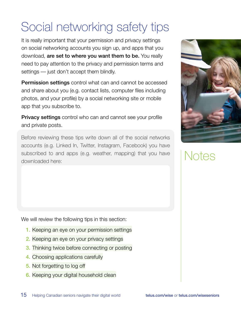## <span id="page-16-0"></span>Social networking safety tips

It is really important that your permission and privacy settings on social networking accounts you sign up, and apps that you download, are set to where you want them to be. You really need to pay attention to the privacy and permission terms and settings — just don't accept them blindly.

Permission settings control what can and cannot be accessed and share about you (e.g. contact lists, computer files including photos, and your profile) by a social networking site or mobile app that you subscribe to.

**Privacy settings** control who can and cannot see your profile and private posts.

Before reviewing these tips write down all of the social networks accounts (e.g. Linked In, Twitter, Instagram, Facebook) you have subscribed to and apps (e.g. weather, mapping) that you have downloaded here:

We will review the following tips in this section:

- 1. [Keeping an eye on your permission settings](#page-17-1)
- 2. [Keeping an eye on your privacy settings](#page-17-2)
- 3. [Thinking twice before connecting or posting](#page-17-3)
- 4. [Choosing applications carefully](#page-18-1)
- 5. Not [forgetting to log off](#page-18-2)
- 6. [Keeping your digital household clean](#page-18-3)

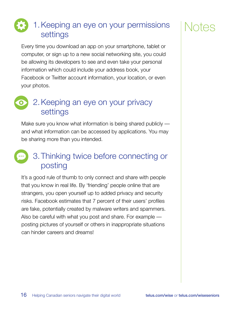#### <span id="page-17-1"></span><span id="page-17-0"></span>1.Keeping an eye on your permissions settings

Every time you download an app on your smartphone, tablet or computer, or sign up to a new social networking site, you could be allowing its developers to see and even take your personal information which could include your address book, your Facebook or Twitter account information, your location, or even your photos.



#### <span id="page-17-2"></span>2.Keeping an eye on your privacy settings

Make sure you know what information is being shared publicly and what information can be accessed by applications. You may be sharing more than you intended.



#### <span id="page-17-3"></span>3.Thinking twice before connecting or posting

It's a good rule of thumb to only connect and share with people that you know in real life. By 'friending' people online that are strangers, you open yourself up to added privacy and security risks. Facebook estimates that 7 percent of their users' profiles are fake, potentially created by malware writers and spammers. Also be careful with what you post and share. For example posting pictures of yourself or others in inappropriate situations can hinder careers and dreams!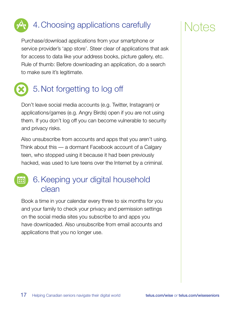## <span id="page-18-0"></span>4.Choosing applications carefully

<span id="page-18-1"></span>Purchase/download applications from your smartphone or service provider's 'app store'. Steer clear of applications that ask for access to data like your address books, picture gallery, etc. Rule of thumb: Before downloading an application, do a search to make sure it's legitimate.



### <span id="page-18-2"></span>5.Not forgetting to log off

Don't leave social media accounts (e.g. Twitter, Instagram) or applications/games (e.g. Angry Birds) open if you are not using them. If you don't log off you can become vulnerable to security and privacy risks.

Also unsubscribe from accounts and apps that you aren't using. Think about this — a dormant Facebook account of a Calgary teen, who stopped using it because it had been previously hacked, was used to lure teens over the Internet by a criminal.

#### <span id="page-18-3"></span>6.Keeping your digital household clean

Book a time in your calendar every three to six months for you and your family to check your privacy and permission settings on the social media sites you subscribe to and apps you have downloaded. Also unsubscribe from email accounts and applications that you no longer use.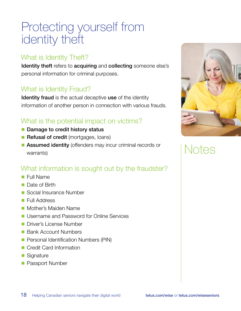### <span id="page-19-0"></span>Protecting yourself from identity theft

#### What is Identity Theft?

Identity theft refers to acquiring and collecting someone else's personal information for criminal purposes.

#### What is Identity Fraud?

Identity fraud is the actual deceptive use of the identity information of another person in connection with various frauds.

#### What is the potential impact on victims?

- Damage to credit history status
- Refusal of credit (mortgages, loans)
- Assumed identity (offenders may incur criminal records or warrants)

#### What information is sought out by the fraudster?

- Full Name
- Date of Birth
- Social Insurance Number
- Full Address
- Mother's Maiden Name
- Username and Password for Online Services
- Driver's License Number
- Bank Account Numbers
- Personal Identification Numbers (PIN)
- Credit Card Information
- Signature
- Passport Number

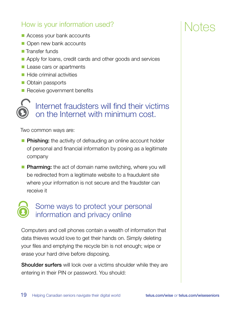#### <span id="page-20-0"></span>How is your information used?

- Access your bank accounts
- Open new bank accounts
- Transfer funds
- Apply for loans, credit cards and other goods and services
- Lease cars or apartments
- Hide criminal activities
- Obtain passports
- Receive government benefits

#### Internet fraudsters will find their victims on the Internet with minimum cost.

Two common ways are:

- Phishing: the activity of defrauding an online account holder of personal and financial information by posing as a legitimate company
- Pharming: the act of domain name switching, where you will be redirected from a legitimate website to a fraudulent site where your information is not secure and the fraudster can receive it

#### Some ways to protect your personal information and privacy online

Computers and cell phones contain a wealth of information that data thieves would love to get their hands on. Simply deleting your files and emptying the recycle bin is not enough; wipe or erase your hard drive before disposing.

Shoulder surfers will look over a victims shoulder while they are entering in their PIN or password. You should:

### TAS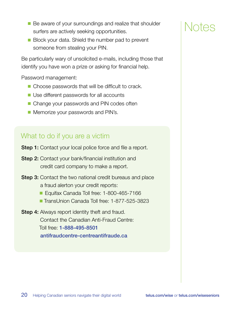- Be aware of your surroundings and realize that shoulder surfers are actively seeking opportunities.
- Block your data. Shield the number pad to prevent someone from stealing your PIN.

Be particularly wary of unsolicited e-mails, including those that identify you have won a prize or asking for financial help.

Password management:

- Choose passwords that will be difficult to crack.
- Use different passwords for all accounts
- Change your passwords and PIN codes often
- Memorize your passwords and PIN's.

#### What to do if you are a victim

- **Step 1:** Contact your local police force and file a report.
- **Step 2:** Contact your bank/financial institution and credit card company to make a report.
- **Step 3:** Contact the two national credit bureaus and place a fraud alerton your credit reports:
	- Equifax Canada Toll free: 1-800-465-7166
	- TransUnion Canada Toll free: 1-877-525-3823
- **Step 4:** Always report identity theft and fraud. Contact the Canadian Anti-Fraud Centre: Toll free: 1-888-495-8501 [antifraudcentre-centreantifraude.ca](http://www.antifraudcentre-centreantifraude.ca)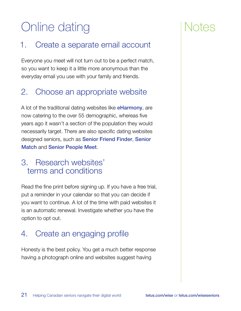## <span id="page-22-0"></span>Online dating

#### 1. Create a separate email account

Everyone you meet will not turn out to be a perfect match, so you want to keep it a little more anonymous than the everyday email you use with your family and friends.

#### 2. Choose an appropriate website

A lot of the traditional dating websites like **[eHarmony](http://www.eharmony.ca/lifestyle/senior-dating/http://eHarmony)**, are now catering to the over 55 demographic, whereas five years ago it wasn't a section of the population they would necessarily target. There are also specific dating websites designed seniors, such as [Senior Friend Finder](http://seniorfriendfinder.com/), [Senior](http://www.seniormatch.ca/)  [Match](http://www.seniormatch.ca/) and [Senior People Meet](http://www.seniorpeoplemeet.com/).

#### 3. Research websites' terms and conditions

Read the fine print before signing up. If you have a free trial, put a reminder in your calendar so that you can decide if you want to continue. A lot of the time with paid websites it is an automatic renewal. Investigate whether you have the option to opt out.

#### 4. Create an engaging profile

Honesty is the best policy. You get a much better response having a photograph online and websites suggest having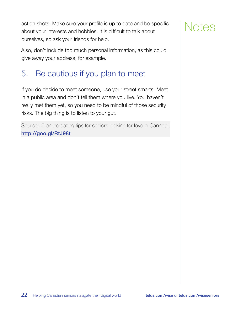<span id="page-23-0"></span>action shots. Make sure your profile is up to date and be specific about your interests and hobbies. It is difficult to talk about ourselves, so ask your friends for help.

Also, don't include too much personal information, as this could give away your address, for example.

#### 5. Be cautious if you plan to meet

If you do decide to meet someone, use your street smarts. Meet in a public area and don't tell them where you live. You haven't really met them yet, so you need to be mindful of those security risks. The big thing is to listen to your gut.

Source: '5 online dating tips for seniors looking for love in Canada', <http://goo.gl/RtJ98t>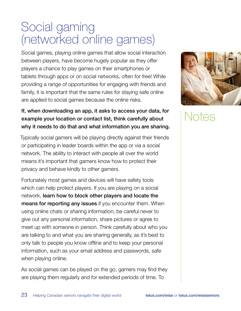### <span id="page-24-0"></span>Social gaming (networked online games)

Social games, playing online games that allow social interaction between players, have become hugely popular as they offer players a chance to play games on their smartphones or tablets through apps or on social networks, often for free! While providing a range of opportunities for engaging with friends and family, it is important that the same rules for staying safe online are applied to social games because the online risks.

#### If, when downloading an app, it asks to access your data, for example your location or contact list, think carefully about why it needs to do that and what information you are sharing.

Typically social gamers will be playing directly against their friends or participating in leader boards within the app or via a social network. The ability to interact with people all over the world means it's important that gamers know how to protect their privacy and behave kindly to other gamers.

Fortunately most games and devices will have safety tools which can help protect players. If you are playing on a social network, learn how to block other players and locate the **means for reporting any issues** if you encounter them. When using online chats or sharing information, be careful never to give out any personal information, share pictures or agree to meet up with someone in person. Think carefully about who you are talking to and what you are sharing generally, as it's best to only talk to people you know offline and to keep your personal information, such as your email address and passwords, safe when playing online.

As social games can be played on the go, gamers may find they are playing them regularly and for extended periods of time. To

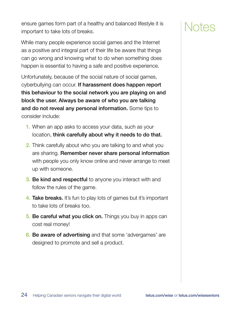ensure games form part of a healthy and balanced lifestyle it is important to take lots of breaks.

While many people experience social games and the Internet as a positive and integral part of their life be aware that things can go wrong and knowing what to do when something does happen is essential to having a safe and positive experience.

Unfortunately, because of the social nature of social games, cyberbullying can occur. If harassment does happen report this behaviour to the social network you are playing on and block the user. Always be aware of who you are talking and do not reveal any personal information. Some tips to consider include:

- 1. When an app asks to access your data, such as your location, think carefully about why it needs to do that.
- 2. Think carefully about who you are talking to and what you are sharing. Remember never share personal information with people you only know online and never arrange to meet up with someone.
- **3. Be kind and respectful** to anyone you interact with and follow the rules of the game.
- **4. Take breaks.** It's fun to play lots of games but it's important to take lots of breaks too.
- **5. Be careful what you click on.** Things you buy in apps can cost real money!
- **6. Be aware of advertising** and that some 'advergames' are designed to promote and sell a product.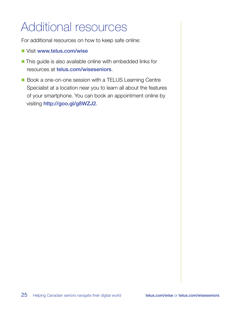## <span id="page-26-0"></span>Additional resources

For additional resources on how to keep safe online:

- Visit [www.telus.com/wise](http://telus.com/wise)
- This guide is also available online with embedded links for resources at [telus.com/wiseseniors](http://telus.com/wiseseniors).
- Book a one-on-one session with a TELUS Learning Centre Specialist at a location near you to learn all about the features of your smartphone. You can book an appointment online by visiting <http://goo.gl/g8WZJ2>.